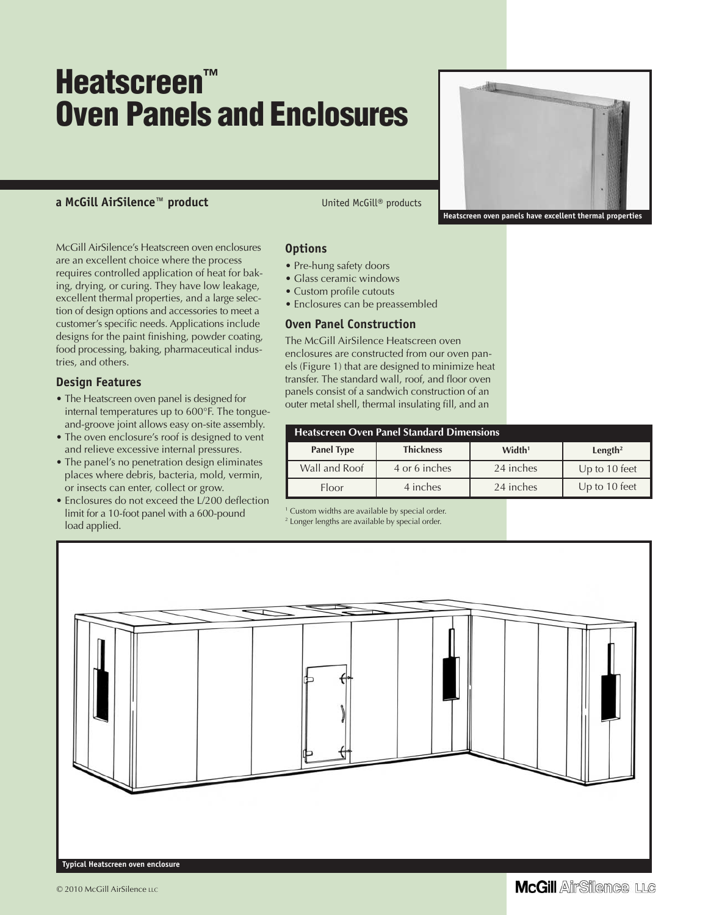# **Heatscreen™ Oven Panels and Enclosures**

### **a McGill AirSilence™ product** United McGill® products

McGill AirSilence's Heatscreen oven enclosures are an excellent choice where the process requires controlled application of heat for baking, drying, or curing. They have low leakage, excellent thermal properties, and a large selection of design options and accessories to meet a customer's specific needs. Applications include designs for the paint finishing, powder coating, food processing, baking, pharmaceutical industries, and others.

#### **Design Features**

- The Heatscreen oven panel is designed for internal temperatures up to 600°F. The tongueand-groove joint allows easy on-site assembly.
- The oven enclosure's roof is designed to vent and relieve excessive internal pressures.
- The panel's no penetration design eliminates places where debris, bacteria, mold, vermin, or insects can enter, collect or grow.
- Enclosures do not exceed the L/200 deflection limit for a 10-foot panel with a 600-pound load applied.

#### **Options**

- Pre-hung safety doors
- Glass ceramic windows
- Custom profile cutouts
- Enclosures can be preassembled

### **Oven Panel Construction**

The McGill AirSilence Heatscreen oven enclosures are constructed from our oven panels (Figure 1) that are designed to minimize heat transfer. The standard wall, roof, and floor oven panels consist of a sandwich construction of an outer metal shell, thermal insulating fill, and an

| <b>Heatscreen Oven Panel Standard Dimensions</b> |                  |                    |                     |
|--------------------------------------------------|------------------|--------------------|---------------------|
| <b>Panel Type</b>                                | <b>Thickness</b> | Width <sup>1</sup> | Length <sup>2</sup> |
| Wall and Roof                                    | 4 or 6 inches    | 24 inches          | Up to 10 feet       |
| <b>Floor</b>                                     | 4 inches         | 24 inches          | Up to 10 feet       |

<sup>1</sup> Custom widths are available by special order.

<sup>2</sup> Longer lengths are available by special order.